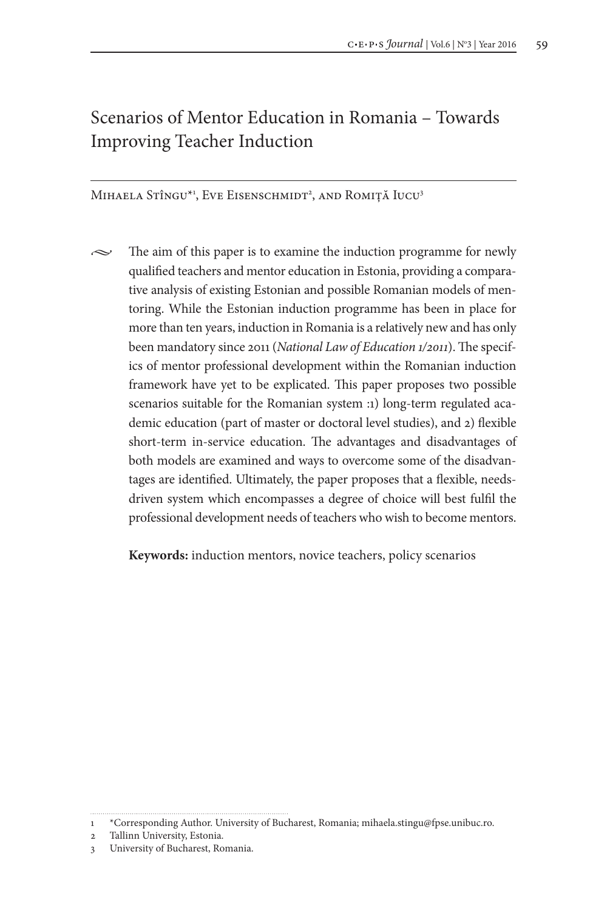# Scenarios of Mentor Education in Romania – Towards Improving Teacher Induction

Mihaela Stîngu\*<sup>1</sup>, Eve Eisenschmidt<sup>2</sup>, and Romiță Iucu<sup>3</sup>

 $\sim$  The aim of this paper is to examine the induction programme for newly qualified teachers and mentor education in Estonia, providing a comparative analysis of existing Estonian and possible Romanian models of mentoring. While the Estonian induction programme has been in place for more than ten years, induction in Romania is a relatively new and has only been mandatory since 2011 (*National Law of Education 1/2011*). The specifics of mentor professional development within the Romanian induction framework have yet to be explicated. This paper proposes two possible scenarios suitable for the Romanian system :1) long-term regulated academic education (part of master or doctoral level studies), and 2) flexible short-term in-service education. The advantages and disadvantages of both models are examined and ways to overcome some of the disadvantages are identified. Ultimately, the paper proposes that a flexible, needsdriven system which encompasses a degree of choice will best fulfil the professional development needs of teachers who wish to become mentors.

**Keywords:** induction mentors, novice teachers, policy scenarios

<sup>1</sup> \*Corresponding Author. University of Bucharest, Romania; mihaela.stingu@fpse.unibuc.ro.

<sup>2</sup> Tallinn University, Estonia.

<sup>3</sup> University of Bucharest, Romania.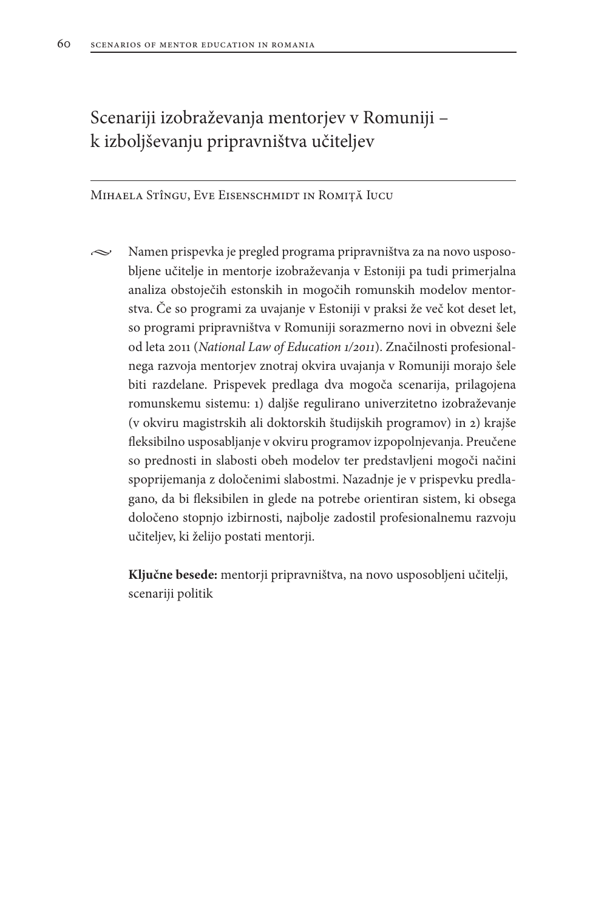# Scenariji izobraževanja mentorjev v Romuniji – k izboljševanju pripravništva učiteljev

Mihaela Stîngu, Eve Eisenschmidt in Romiță Iucu

 $\sim$  Namen prispevka je pregled programa pripravništva za na novo usposobljene učitelje in mentorje izobraževanja v Estoniji pa tudi primerjalna analiza obstoječih estonskih in mogočih romunskih modelov mentorstva. Če so programi za uvajanje v Estoniji v praksi že več kot deset let, so programi pripravništva v Romuniji sorazmerno novi in obvezni šele od leta 2011 (*National Law of Education 1/2011*). Značilnosti profesionalnega razvoja mentorjev znotraj okvira uvajanja v Romuniji morajo šele biti razdelane. Prispevek predlaga dva mogoča scenarija, prilagojena romunskemu sistemu: 1) daljše regulirano univerzitetno izobraževanje (v okviru magistrskih ali doktorskih študijskih programov) in 2) krajše fleksibilno usposabljanje v okviru programov izpopolnjevanja. Preučene so prednosti in slabosti obeh modelov ter predstavljeni mogoči načini spoprijemanja z določenimi slabostmi. Nazadnje je v prispevku predlagano, da bi fleksibilen in glede na potrebe orientiran sistem, ki obsega določeno stopnjo izbirnosti, najbolje zadostil profesionalnemu razvoju učiteljev, ki želijo postati mentorji.

**Ključne besede:** mentorji pripravništva, na novo usposobljeni učitelji, scenariji politik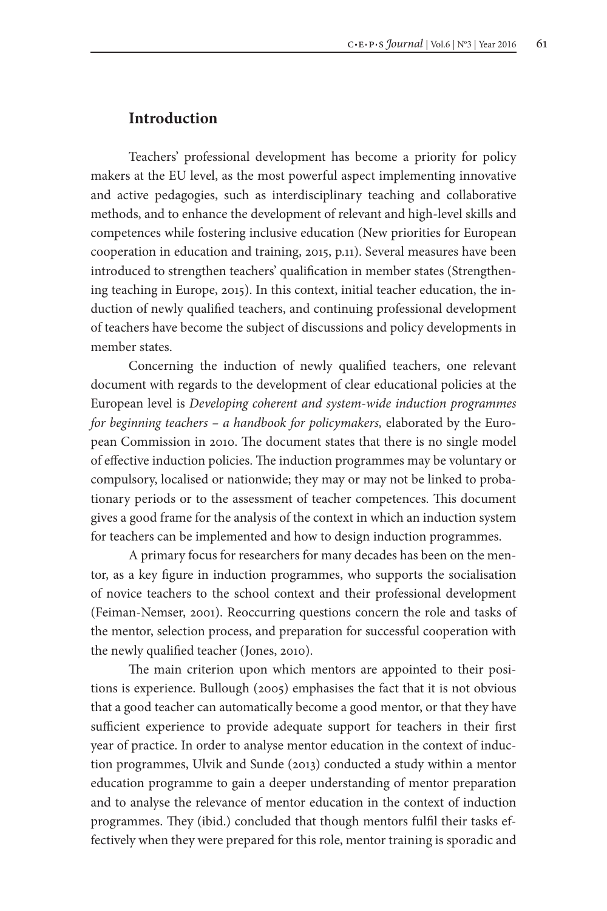## **Introduction**

Teachers' professional development has become a priority for policy makers at the EU level, as the most powerful aspect implementing innovative and active pedagogies, such as interdisciplinary teaching and collaborative methods, and to enhance the development of relevant and high-level skills and competences while fostering inclusive education (New priorities for European cooperation in education and training, 2015, p.11). Several measures have been introduced to strengthen teachers' qualification in member states (Strengthening teaching in Europe, 2015). In this context, initial teacher education, the induction of newly qualified teachers, and continuing professional development of teachers have become the subject of discussions and policy developments in member states.

Concerning the induction of newly qualified teachers, one relevant document with regards to the development of clear educational policies at the European level is *Developing coherent and system-wide induction programmes for beginning teachers – a handbook for policymakers,* elaborated by the European Commission in 2010. The document states that there is no single model of effective induction policies. The induction programmes may be voluntary or compulsory, localised or nationwide; they may or may not be linked to probationary periods or to the assessment of teacher competences. This document gives a good frame for the analysis of the context in which an induction system for teachers can be implemented and how to design induction programmes.

A primary focus for researchers for many decades has been on the mentor, as a key figure in induction programmes, who supports the socialisation of novice teachers to the school context and their professional development (Feiman-Nemser, 2001). Reoccurring questions concern the role and tasks of the mentor, selection process, and preparation for successful cooperation with the newly qualified teacher (Jones, 2010).

The main criterion upon which mentors are appointed to their positions is experience. Bullough (2005) emphasises the fact that it is not obvious that a good teacher can automatically become a good mentor, or that they have sufficient experience to provide adequate support for teachers in their first year of practice. In order to analyse mentor education in the context of induction programmes, Ulvik and Sunde (2013) conducted a study within a mentor education programme to gain a deeper understanding of mentor preparation and to analyse the relevance of mentor education in the context of induction programmes. They (ibid.) concluded that though mentors fulfil their tasks effectively when they were prepared for this role, mentor training is sporadic and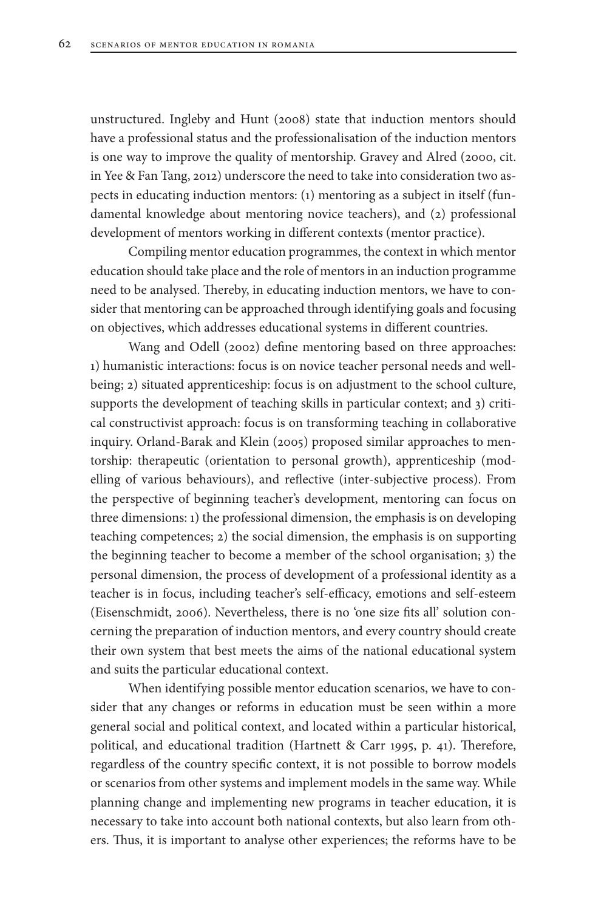unstructured. Ingleby and Hunt (2008) state that induction mentors should have a professional status and the professionalisation of the induction mentors is one way to improve the quality of mentorship. Gravey and Alred (2000, cit. in Yee & Fan Tang, 2012) underscore the need to take into consideration two aspects in educating induction mentors: (1) mentoring as a subject in itself (fundamental knowledge about mentoring novice teachers), and (2) professional development of mentors working in different contexts (mentor practice).

Compiling mentor education programmes, the context in which mentor education should take place and the role of mentors in an induction programme need to be analysed. Thereby, in educating induction mentors, we have to consider that mentoring can be approached through identifying goals and focusing on objectives, which addresses educational systems in different countries.

Wang and Odell (2002) define mentoring based on three approaches: 1) humanistic interactions: focus is on novice teacher personal needs and wellbeing; 2) situated apprenticeship: focus is on adjustment to the school culture, supports the development of teaching skills in particular context; and 3) critical constructivist approach: focus is on transforming teaching in collaborative inquiry. Orland-Barak and Klein (2005) proposed similar approaches to mentorship: therapeutic (orientation to personal growth), apprenticeship (modelling of various behaviours), and reflective (inter-subjective process). From the perspective of beginning teacher's development, mentoring can focus on three dimensions: 1) the professional dimension, the emphasis is on developing teaching competences; 2) the social dimension, the emphasis is on supporting the beginning teacher to become a member of the school organisation; 3) the personal dimension, the process of development of a professional identity as a teacher is in focus, including teacher's self-efficacy, emotions and self-esteem (Eisenschmidt, 2006). Nevertheless, there is no 'one size fits all' solution concerning the preparation of induction mentors, and every country should create their own system that best meets the aims of the national educational system and suits the particular educational context.

When identifying possible mentor education scenarios, we have to consider that any changes or reforms in education must be seen within a more general social and political context, and located within a particular historical, political, and educational tradition (Hartnett & Carr 1995, p. 41). Therefore, regardless of the country specific context, it is not possible to borrow models or scenarios from other systems and implement models in the same way. While planning change and implementing new programs in teacher education, it is necessary to take into account both national contexts, but also learn from others. Thus, it is important to analyse other experiences; the reforms have to be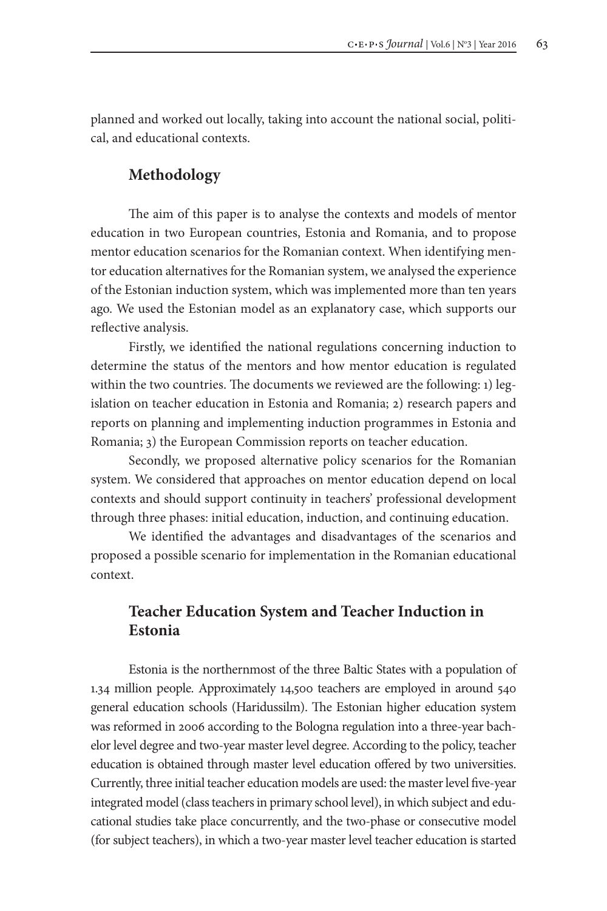planned and worked out locally, taking into account the national social, political, and educational contexts.

## **Methodology**

The aim of this paper is to analyse the contexts and models of mentor education in two European countries, Estonia and Romania, and to propose mentor education scenarios for the Romanian context. When identifying mentor education alternatives for the Romanian system, we analysed the experience of the Estonian induction system, which was implemented more than ten years ago. We used the Estonian model as an explanatory case, which supports our reflective analysis.

Firstly, we identified the national regulations concerning induction to determine the status of the mentors and how mentor education is regulated within the two countries. The documents we reviewed are the following: 1) legislation on teacher education in Estonia and Romania; 2) research papers and reports on planning and implementing induction programmes in Estonia and Romania; 3) the European Commission reports on teacher education.

Secondly, we proposed alternative policy scenarios for the Romanian system. We considered that approaches on mentor education depend on local contexts and should support continuity in teachers' professional development through three phases: initial education, induction, and continuing education.

We identified the advantages and disadvantages of the scenarios and proposed a possible scenario for implementation in the Romanian educational context.

# **Teacher Education System and Teacher Induction in Estonia**

Estonia is the northernmost of the three Baltic States with a population of 1.34 million people. Approximately 14,500 teachers are employed in around 540 general education schools (Haridussilm). The Estonian higher education system was reformed in 2006 according to the Bologna regulation into a three-year bachelor level degree and two-year master level degree. According to the policy, teacher education is obtained through master level education offered by two universities. Currently, three initial teacher education models are used: the master level five-year integrated model (class teachers in primary school level), in which subject and educational studies take place concurrently, and the two-phase or consecutive model (for subject teachers), in which a two-year master level teacher education is started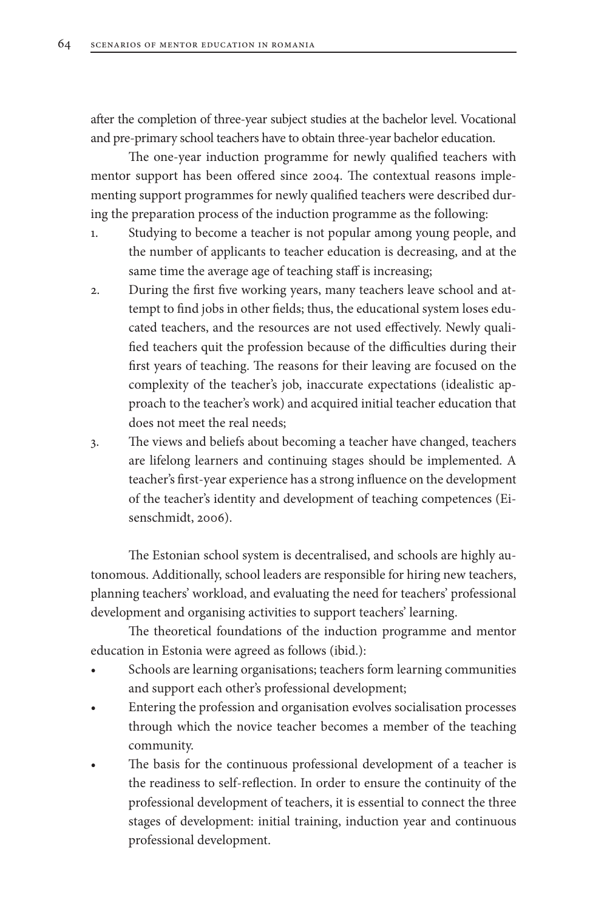after the completion of three-year subject studies at the bachelor level. Vocational and pre-primary school teachers have to obtain three-year bachelor education.

The one-year induction programme for newly qualified teachers with mentor support has been offered since 2004. The contextual reasons implementing support programmes for newly qualified teachers were described during the preparation process of the induction programme as the following:

- 1. Studying to become a teacher is not popular among young people, and the number of applicants to teacher education is decreasing, and at the same time the average age of teaching staff is increasing;
- 2. During the first five working years, many teachers leave school and attempt to find jobs in other fields; thus, the educational system loses educated teachers, and the resources are not used effectively. Newly qualified teachers quit the profession because of the difficulties during their first years of teaching. The reasons for their leaving are focused on the complexity of the teacher's job, inaccurate expectations (idealistic approach to the teacher's work) and acquired initial teacher education that does not meet the real needs;
- 3. The views and beliefs about becoming a teacher have changed, teachers are lifelong learners and continuing stages should be implemented. A teacher's first-year experience has a strong influence on the development of the teacher's identity and development of teaching competences (Eisenschmidt, 2006).

The Estonian school system is decentralised, and schools are highly autonomous. Additionally, school leaders are responsible for hiring new teachers, planning teachers' workload, and evaluating the need for teachers' professional development and organising activities to support teachers' learning.

The theoretical foundations of the induction programme and mentor education in Estonia were agreed as follows (ibid.):

- Schools are learning organisations; teachers form learning communities and support each other's professional development;
- Entering the profession and organisation evolves socialisation processes through which the novice teacher becomes a member of the teaching community.
- The basis for the continuous professional development of a teacher is the readiness to self-reflection. In order to ensure the continuity of the professional development of teachers, it is essential to connect the three stages of development: initial training, induction year and continuous professional development.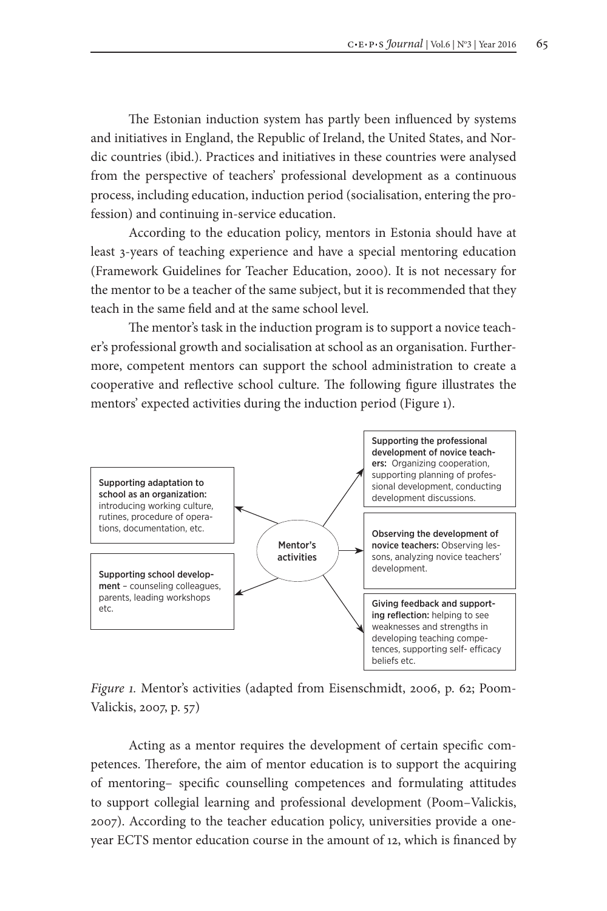The Estonian induction system has partly been influenced by systems and initiatives in England, the Republic of Ireland, the United States, and Nordic countries (ibid.). Practices and initiatives in these countries were analysed from the perspective of teachers' professional development as a continuous process, including education, induction period (socialisation, entering the profession) and continuing in-service education.

According to the education policy, mentors in Estonia should have at least 3-years of teaching experience and have a special mentoring education (Framework Guidelines for Teacher Education, 2000). It is not necessary for the mentor to be a teacher of the same subject, but it is recommended that they teach in the same field and at the same school level.

The mentor's task in the induction program is to support a novice teacher's professional growth and socialisation at school as an organisation. Furthermore, competent mentors can support the school administration to create a cooperative and reflective school culture. The following figure illustrates the mentors' expected activities during the induction period (Figure 1).



*Figure 1.* Mentor's activities (adapted from Eisenschmidt, 2006, p. 62; Poom-Valickis, 2007, p. 57)

Acting as a mentor requires the development of certain specific competences. Therefore, the aim of mentor education is to support the acquiring of mentoring– specific counselling competences and formulating attitudes to support collegial learning and professional development (Poom–Valickis, 2007). According to the teacher education policy, universities provide a oneyear ECTS mentor education course in the amount of 12, which is financed by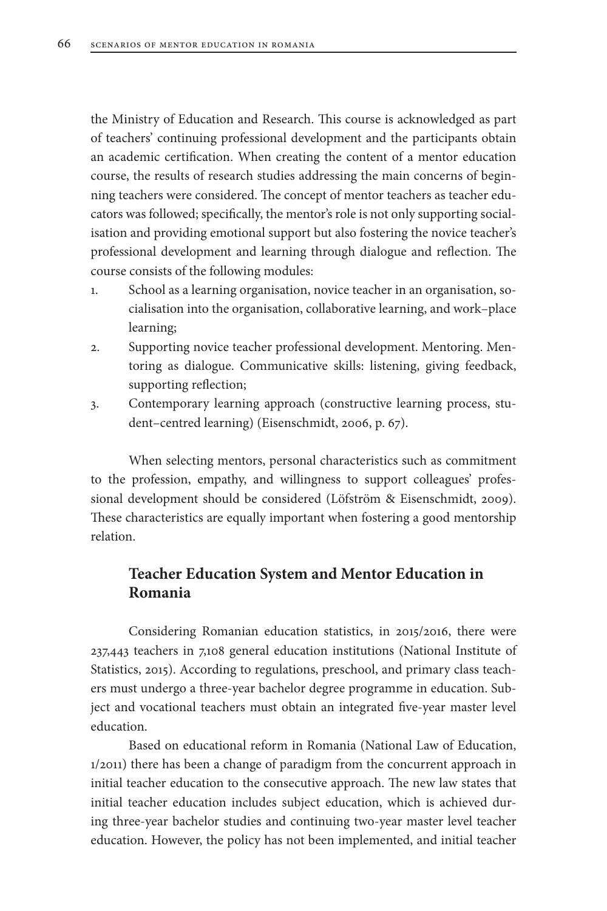the Ministry of Education and Research. This course is acknowledged as part of teachers' continuing professional development and the participants obtain an academic certification. When creating the content of a mentor education course, the results of research studies addressing the main concerns of beginning teachers were considered. The concept of mentor teachers as teacher educators was followed; specifically, the mentor's role is not only supporting socialisation and providing emotional support but also fostering the novice teacher's professional development and learning through dialogue and reflection. The course consists of the following modules:

- 1. School as a learning organisation, novice teacher in an organisation, socialisation into the organisation, collaborative learning, and work–place learning;
- 2. Supporting novice teacher professional development. Mentoring. Mentoring as dialogue. Communicative skills: listening, giving feedback, supporting reflection;
- 3. Contemporary learning approach (constructive learning process, student–centred learning) (Eisenschmidt, 2006, p. 67).

When selecting mentors, personal characteristics such as commitment to the profession, empathy, and willingness to support colleagues' professional development should be considered (Löfström & Eisenschmidt, 2009). These characteristics are equally important when fostering a good mentorship relation.

# **Teacher Education System and Mentor Education in Romania**

Considering Romanian education statistics, in 2015/2016, there were 237,443 teachers in 7,108 general education institutions (National Institute of Statistics, 2015). According to regulations, preschool, and primary class teachers must undergo a three-year bachelor degree programme in education. Subject and vocational teachers must obtain an integrated five-year master level education.

Based on educational reform in Romania (National Law of Education, 1/2011) there has been a change of paradigm from the concurrent approach in initial teacher education to the consecutive approach. The new law states that initial teacher education includes subject education, which is achieved during three-year bachelor studies and continuing two-year master level teacher education. However, the policy has not been implemented, and initial teacher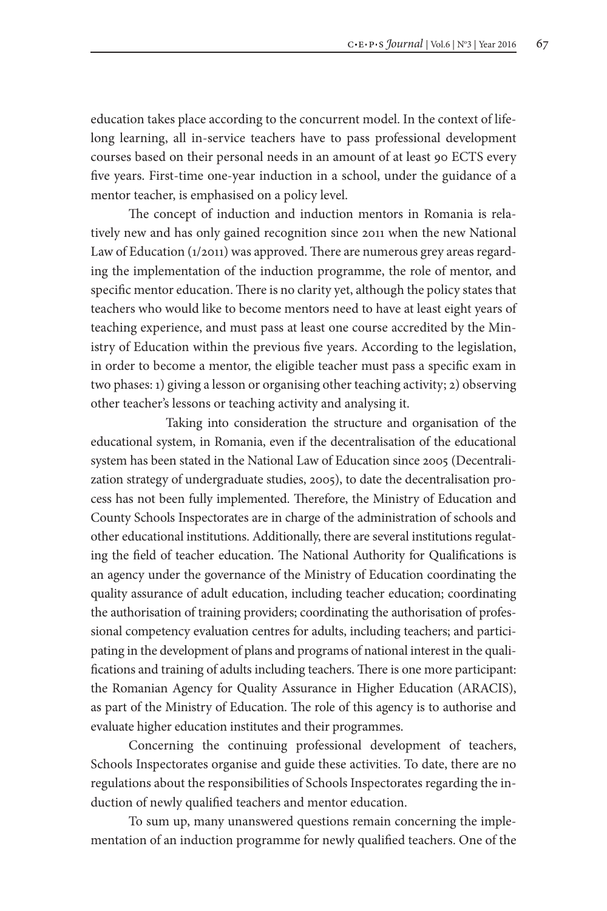education takes place according to the concurrent model. In the context of lifelong learning, all in-service teachers have to pass professional development courses based on their personal needs in an amount of at least 90 ECTS every five years. First-time one-year induction in a school, under the guidance of a mentor teacher, is emphasised on a policy level.

The concept of induction and induction mentors in Romania is relatively new and has only gained recognition since 2011 when the new National Law of Education (1/2011) was approved. There are numerous grey areas regarding the implementation of the induction programme, the role of mentor, and specific mentor education. There is no clarity yet, although the policy states that teachers who would like to become mentors need to have at least eight years of teaching experience, and must pass at least one course accredited by the Ministry of Education within the previous five years. According to the legislation, in order to become a mentor, the eligible teacher must pass a specific exam in two phases: 1) giving a lesson or organising other teaching activity; 2) observing other teacher's lessons or teaching activity and analysing it.

Taking into consideration the structure and organisation of the educational system, in Romania, even if the decentralisation of the educational system has been stated in the National Law of Education since 2005 (Decentralization strategy of undergraduate studies, 2005), to date the decentralisation process has not been fully implemented. Therefore, the Ministry of Education and County Schools Inspectorates are in charge of the administration of schools and other educational institutions. Additionally, there are several institutions regulating the field of teacher education. The National Authority for Qualifications is an agency under the governance of the Ministry of Education coordinating the quality assurance of adult education, including teacher education; coordinating the authorisation of training providers; coordinating the authorisation of professional competency evaluation centres for adults, including teachers; and participating in the development of plans and programs of national interest in the qualifications and training of adults including teachers. There is one more participant: the Romanian Agency for Quality Assurance in Higher Education (ARACIS), as part of the Ministry of Education. The role of this agency is to authorise and evaluate higher education institutes and their programmes.

Concerning the continuing professional development of teachers, Schools Inspectorates organise and guide these activities. To date, there are no regulations about the responsibilities of Schools Inspectorates regarding the induction of newly qualified teachers and mentor education.

To sum up, many unanswered questions remain concerning the implementation of an induction programme for newly qualified teachers. One of the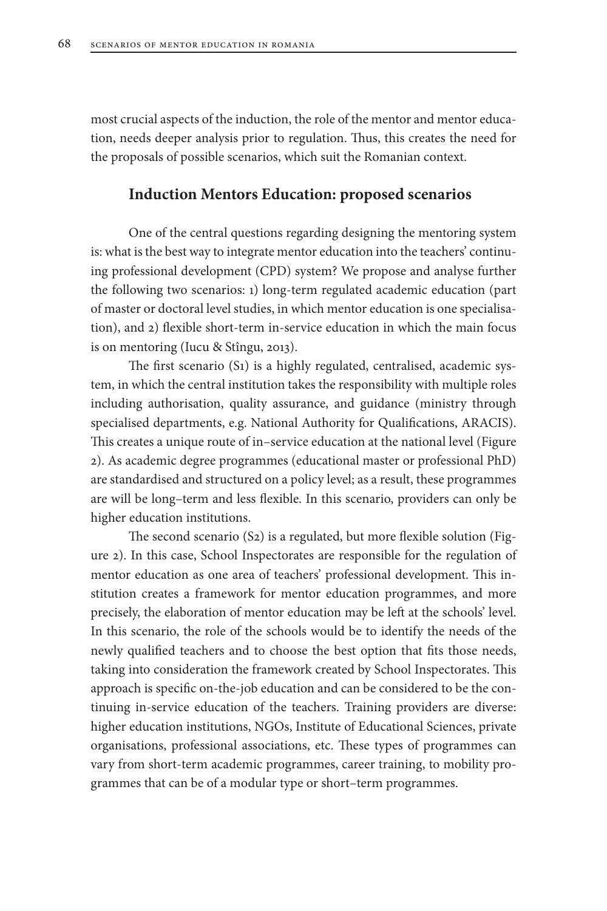most crucial aspects of the induction, the role of the mentor and mentor education, needs deeper analysis prior to regulation. Thus, this creates the need for the proposals of possible scenarios, which suit the Romanian context.

#### **Induction Mentors Education: proposed scenarios**

One of the central questions regarding designing the mentoring system is: what is the best way to integrate mentor education into the teachers' continuing professional development (CPD) system? We propose and analyse further the following two scenarios: 1) long-term regulated academic education (part of master or doctoral level studies, in which mentor education is one specialisation), and 2) flexible short-term in-service education in which the main focus is on mentoring (Iucu & Stîngu, 2013).

The first scenario (S1) is a highly regulated, centralised, academic system, in which the central institution takes the responsibility with multiple roles including authorisation, quality assurance, and guidance (ministry through specialised departments, e.g. National Authority for Qualifications, ARACIS). This creates a unique route of in–service education at the national level (Figure 2). As academic degree programmes (educational master or professional PhD) are standardised and structured on a policy level; as a result, these programmes are will be long–term and less flexible. In this scenario, providers can only be higher education institutions.

The second scenario (S2) is a regulated, but more flexible solution (Figure 2). In this case, School Inspectorates are responsible for the regulation of mentor education as one area of teachers' professional development. This institution creates a framework for mentor education programmes, and more precisely, the elaboration of mentor education may be left at the schools' level. In this scenario, the role of the schools would be to identify the needs of the newly qualified teachers and to choose the best option that fits those needs, taking into consideration the framework created by School Inspectorates. This approach is specific on-the-job education and can be considered to be the continuing in-service education of the teachers. Training providers are diverse: higher education institutions, NGOs, Institute of Educational Sciences, private organisations, professional associations, etc. These types of programmes can vary from short-term academic programmes, career training, to mobility programmes that can be of a modular type or short–term programmes.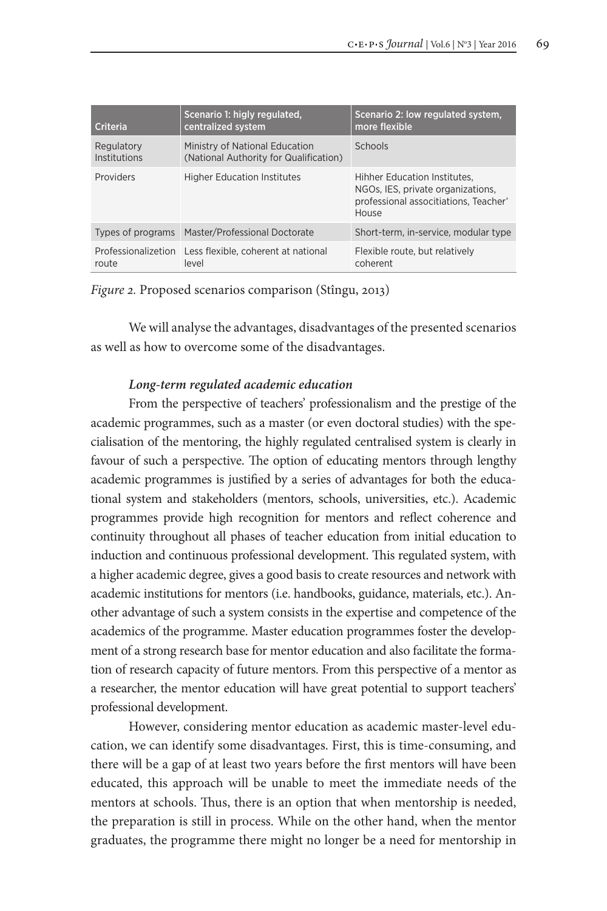| Criteria                   | Scenario 1: higly regulated,<br>centralized system                       | Scenario 2: low regulated system,<br>more flexible                                                                  |
|----------------------------|--------------------------------------------------------------------------|---------------------------------------------------------------------------------------------------------------------|
| Regulatory<br>Institutions | Ministry of National Education<br>(National Authority for Qualification) | Schools                                                                                                             |
| Providers                  | <b>Higher Education Institutes</b>                                       | Hihher Education Institutes.<br>NGOs, IES, private organizations,<br>professional associtiations, Teacher'<br>House |
| Types of programs          | Master/Professional Doctorate                                            | Short-term, in-service, modular type                                                                                |
| route                      | Professionalizetion Less flexible, coherent at national<br>level         | Flexible route, but relatively<br>coherent                                                                          |

*Figure 2.* Proposed scenarios comparison (Stîngu, 2013)

We will analyse the advantages, disadvantages of the presented scenarios as well as how to overcome some of the disadvantages.

#### *Long-term regulated academic education*

From the perspective of teachers' professionalism and the prestige of the academic programmes, such as a master (or even doctoral studies) with the specialisation of the mentoring, the highly regulated centralised system is clearly in favour of such a perspective. The option of educating mentors through lengthy academic programmes is justified by a series of advantages for both the educational system and stakeholders (mentors, schools, universities, etc.). Academic programmes provide high recognition for mentors and reflect coherence and continuity throughout all phases of teacher education from initial education to induction and continuous professional development. This regulated system, with a higher academic degree, gives a good basis to create resources and network with academic institutions for mentors (i.e. handbooks, guidance, materials, etc.). Another advantage of such a system consists in the expertise and competence of the academics of the programme. Master education programmes foster the development of a strong research base for mentor education and also facilitate the formation of research capacity of future mentors. From this perspective of a mentor as a researcher, the mentor education will have great potential to support teachers' professional development.

However, considering mentor education as academic master-level education, we can identify some disadvantages. First, this is time-consuming, and there will be a gap of at least two years before the first mentors will have been educated, this approach will be unable to meet the immediate needs of the mentors at schools. Thus, there is an option that when mentorship is needed, the preparation is still in process. While on the other hand, when the mentor graduates, the programme there might no longer be a need for mentorship in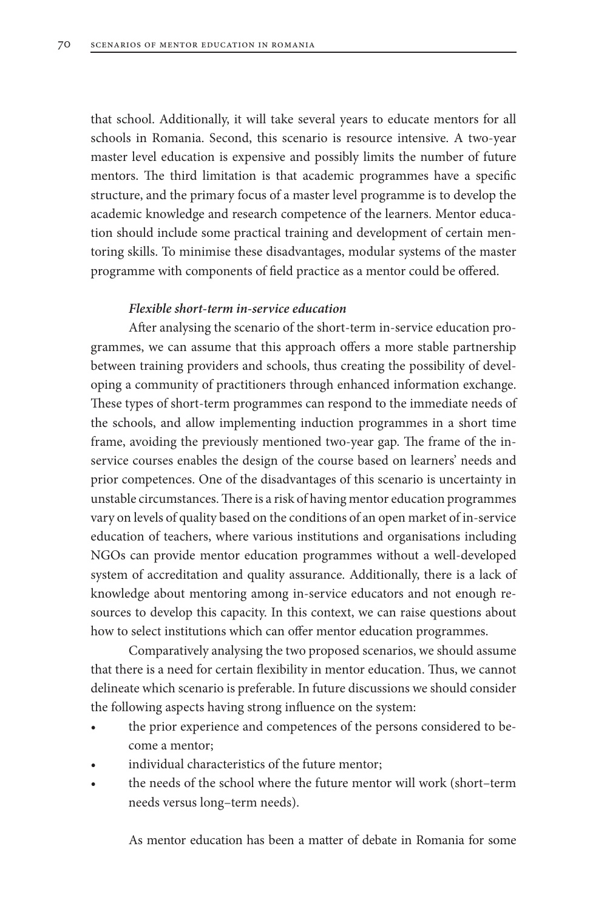that school. Additionally, it will take several years to educate mentors for all schools in Romania. Second, this scenario is resource intensive. A two-year master level education is expensive and possibly limits the number of future mentors. The third limitation is that academic programmes have a specific structure, and the primary focus of a master level programme is to develop the academic knowledge and research competence of the learners. Mentor education should include some practical training and development of certain mentoring skills. To minimise these disadvantages, modular systems of the master programme with components of field practice as a mentor could be offered.

#### *Flexible short-term in-service education*

After analysing the scenario of the short-term in-service education programmes, we can assume that this approach offers a more stable partnership between training providers and schools, thus creating the possibility of developing a community of practitioners through enhanced information exchange. These types of short-term programmes can respond to the immediate needs of the schools, and allow implementing induction programmes in a short time frame, avoiding the previously mentioned two-year gap. The frame of the inservice courses enables the design of the course based on learners' needs and prior competences. One of the disadvantages of this scenario is uncertainty in unstable circumstances. There is a risk of having mentor education programmes vary on levels of quality based on the conditions of an open market of in-service education of teachers, where various institutions and organisations including NGOs can provide mentor education programmes without a well-developed system of accreditation and quality assurance. Additionally, there is a lack of knowledge about mentoring among in-service educators and not enough resources to develop this capacity. In this context, we can raise questions about how to select institutions which can offer mentor education programmes.

Comparatively analysing the two proposed scenarios, we should assume that there is a need for certain flexibility in mentor education. Thus, we cannot delineate which scenario is preferable. In future discussions we should consider the following aspects having strong influence on the system:

- the prior experience and competences of the persons considered to become a mentor;
- individual characteristics of the future mentor;
- the needs of the school where the future mentor will work (short–term needs versus long–term needs).

As mentor education has been a matter of debate in Romania for some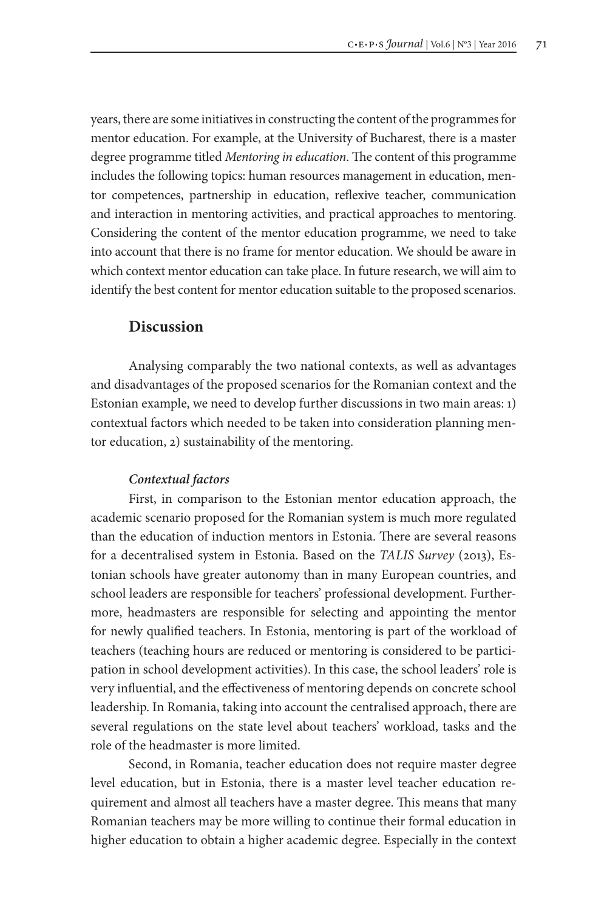years, there are some initiatives in constructing the content of the programmes for mentor education. For example, at the University of Bucharest, there is a master degree programme titled *Mentoring in education*. The content of this programme includes the following topics: human resources management in education, mentor competences, partnership in education, reflexive teacher, communication and interaction in mentoring activities, and practical approaches to mentoring. Considering the content of the mentor education programme, we need to take into account that there is no frame for mentor education. We should be aware in which context mentor education can take place. In future research, we will aim to identify the best content for mentor education suitable to the proposed scenarios.

### **Discussion**

Analysing comparably the two national contexts, as well as advantages and disadvantages of the proposed scenarios for the Romanian context and the Estonian example, we need to develop further discussions in two main areas: 1) contextual factors which needed to be taken into consideration planning mentor education, 2) sustainability of the mentoring.

#### *Contextual factors*

First, in comparison to the Estonian mentor education approach, the academic scenario proposed for the Romanian system is much more regulated than the education of induction mentors in Estonia. There are several reasons for a decentralised system in Estonia. Based on the *TALIS Survey* (2013), Estonian schools have greater autonomy than in many European countries, and school leaders are responsible for teachers' professional development. Furthermore, headmasters are responsible for selecting and appointing the mentor for newly qualified teachers. In Estonia, mentoring is part of the workload of teachers (teaching hours are reduced or mentoring is considered to be participation in school development activities). In this case, the school leaders' role is very influential, and the effectiveness of mentoring depends on concrete school leadership. In Romania, taking into account the centralised approach, there are several regulations on the state level about teachers' workload, tasks and the role of the headmaster is more limited.

Second, in Romania, teacher education does not require master degree level education, but in Estonia, there is a master level teacher education requirement and almost all teachers have a master degree. This means that many Romanian teachers may be more willing to continue their formal education in higher education to obtain a higher academic degree. Especially in the context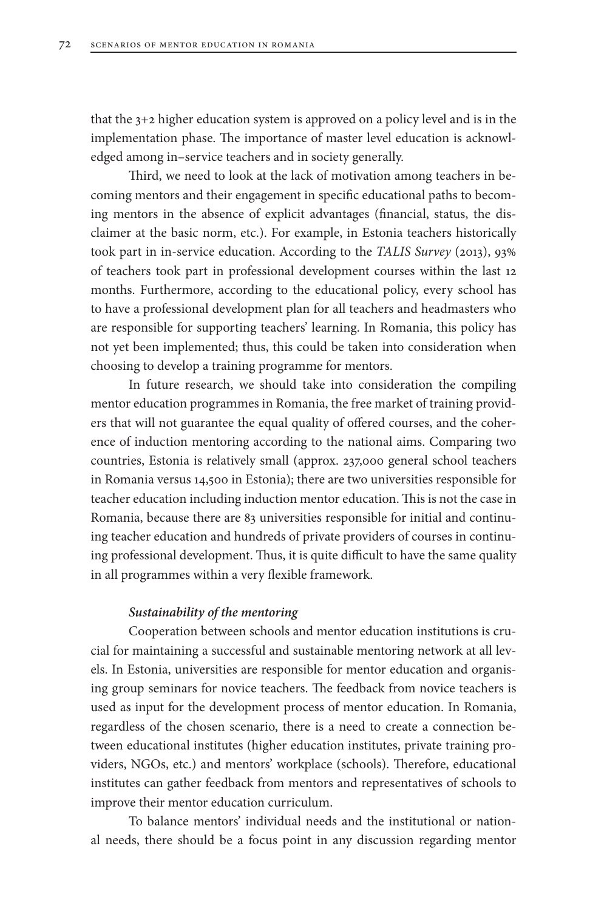that the 3+2 higher education system is approved on a policy level and is in the implementation phase. The importance of master level education is acknowledged among in–service teachers and in society generally.

Third, we need to look at the lack of motivation among teachers in becoming mentors and their engagement in specific educational paths to becoming mentors in the absence of explicit advantages (financial, status, the disclaimer at the basic norm, etc.). For example, in Estonia teachers historically took part in in-service education. According to the *TALIS Survey* (2013), 93% of teachers took part in professional development courses within the last 12 months. Furthermore, according to the educational policy, every school has to have a professional development plan for all teachers and headmasters who are responsible for supporting teachers' learning. In Romania, this policy has not yet been implemented; thus, this could be taken into consideration when choosing to develop a training programme for mentors.

In future research, we should take into consideration the compiling mentor education programmes in Romania, the free market of training providers that will not guarantee the equal quality of offered courses, and the coherence of induction mentoring according to the national aims. Comparing two countries, Estonia is relatively small (approx. 237,000 general school teachers in Romania versus 14,500 in Estonia); there are two universities responsible for teacher education including induction mentor education. This is not the case in Romania, because there are 83 universities responsible for initial and continuing teacher education and hundreds of private providers of courses in continuing professional development. Thus, it is quite difficult to have the same quality in all programmes within a very flexible framework.

#### *Sustainability of the mentoring*

Cooperation between schools and mentor education institutions is crucial for maintaining a successful and sustainable mentoring network at all levels. In Estonia, universities are responsible for mentor education and organising group seminars for novice teachers. The feedback from novice teachers is used as input for the development process of mentor education. In Romania, regardless of the chosen scenario, there is a need to create a connection between educational institutes (higher education institutes, private training providers, NGOs, etc.) and mentors' workplace (schools). Therefore, educational institutes can gather feedback from mentors and representatives of schools to improve their mentor education curriculum.

To balance mentors' individual needs and the institutional or national needs, there should be a focus point in any discussion regarding mentor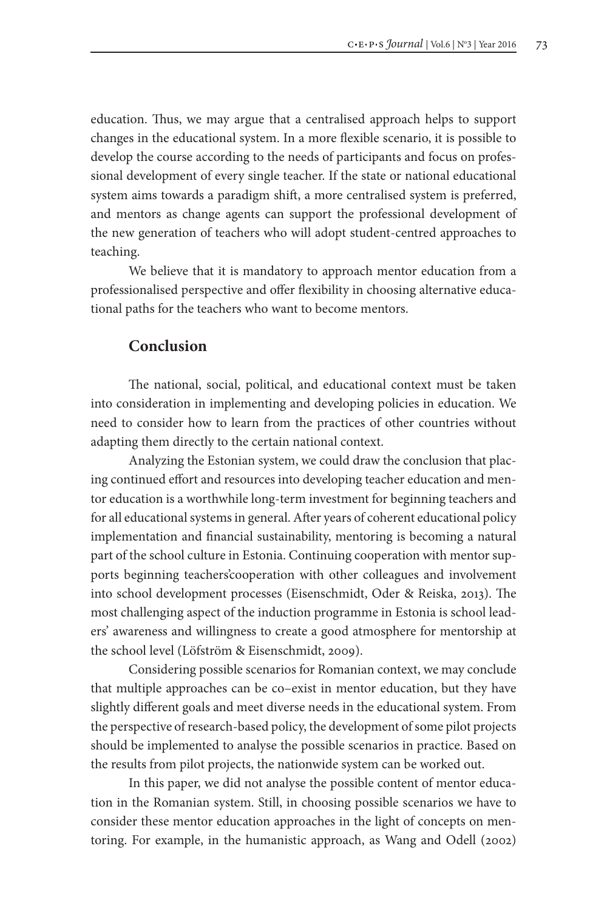education. Thus, we may argue that a centralised approach helps to support changes in the educational system. In a more flexible scenario, it is possible to develop the course according to the needs of participants and focus on professional development of every single teacher. If the state or national educational system aims towards a paradigm shift, a more centralised system is preferred, and mentors as change agents can support the professional development of the new generation of teachers who will adopt student-centred approaches to teaching.

We believe that it is mandatory to approach mentor education from a professionalised perspective and offer flexibility in choosing alternative educational paths for the teachers who want to become mentors.

### **Conclusion**

The national, social, political, and educational context must be taken into consideration in implementing and developing policies in education. We need to consider how to learn from the practices of other countries without adapting them directly to the certain national context.

Analyzing the Estonian system, we could draw the conclusion that placing continued effort and resources into developing teacher education and mentor education is a worthwhile long-term investment for beginning teachers and for all educational systems in general. After years of coherent educational policy implementation and financial sustainability, mentoring is becoming a natural part of the school culture in Estonia. Continuing cooperation with mentor supports beginning teachers'cooperation with other colleagues and involvement into school development processes (Eisenschmidt, Oder & Reiska, 2013). The most challenging aspect of the induction programme in Estonia is school leaders' awareness and willingness to create a good atmosphere for mentorship at the school level (Löfström & Eisenschmidt, 2009).

Considering possible scenarios for Romanian context, we may conclude that multiple approaches can be co–exist in mentor education, but they have slightly different goals and meet diverse needs in the educational system. From the perspective of research-based policy, the development of some pilot projects should be implemented to analyse the possible scenarios in practice. Based on the results from pilot projects, the nationwide system can be worked out.

In this paper, we did not analyse the possible content of mentor education in the Romanian system. Still, in choosing possible scenarios we have to consider these mentor education approaches in the light of concepts on mentoring. For example, in the humanistic approach, as Wang and Odell (2002)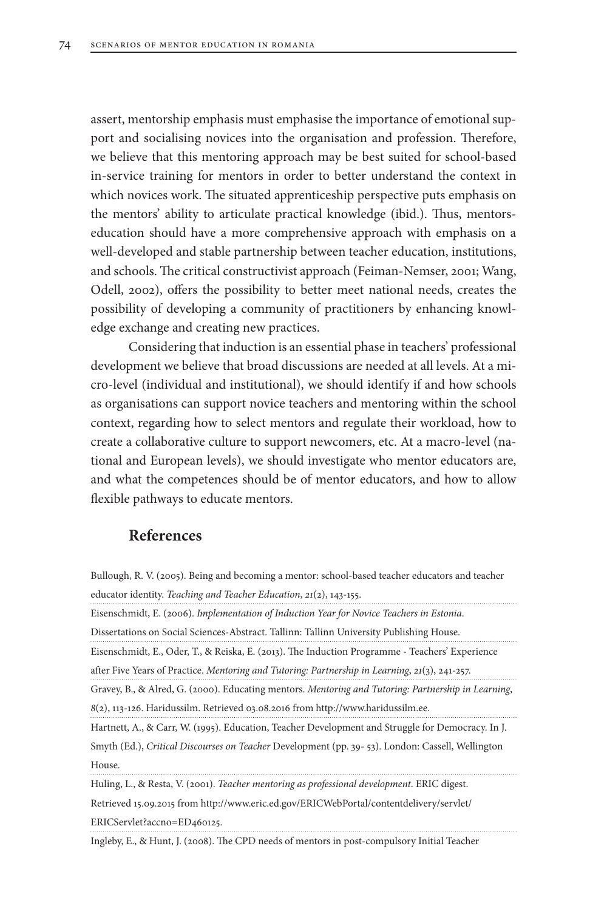assert, mentorship emphasis must emphasise the importance of emotional support and socialising novices into the organisation and profession. Therefore, we believe that this mentoring approach may be best suited for school-based in-service training for mentors in order to better understand the context in which novices work. The situated apprenticeship perspective puts emphasis on the mentors' ability to articulate practical knowledge (ibid.). Thus, mentorseducation should have a more comprehensive approach with emphasis on a well-developed and stable partnership between teacher education, institutions, and schools. The critical constructivist approach (Feiman-Nemser, 2001; Wang, Odell, 2002), offers the possibility to better meet national needs, creates the possibility of developing a community of practitioners by enhancing knowledge exchange and creating new practices.

Considering that induction is an essential phase in teachers' professional development we believe that broad discussions are needed at all levels. At a micro-level (individual and institutional), we should identify if and how schools as organisations can support novice teachers and mentoring within the school context, regarding how to select mentors and regulate their workload, how to create a collaborative culture to support newcomers, etc. At a macro-level (national and European levels), we should investigate who mentor educators are, and what the competences should be of mentor educators, and how to allow flexible pathways to educate mentors.

# **References**

| Bullough, R. V. (2005). Being and becoming a mentor: school-based teacher educators and teacher     |
|-----------------------------------------------------------------------------------------------------|
| educator identity. Teaching and Teacher Education, 21(2), 143-155.                                  |
| Eisenschmidt, E. (2006). Implementation of Induction Year for Novice Teachers in Estonia.           |
| Dissertations on Social Sciences-Abstract. Tallinn: Tallinn University Publishing House.            |
| Eisenschmidt, E., Oder, T., & Reiska, E. (2013). The Induction Programme - Teachers' Experience     |
| after Five Years of Practice. Mentoring and Tutoring: Partnership in Learning, 21(3), 241-257.      |
| Gravey, B., & Alred, G. (2000). Educating mentors. Mentoring and Tutoring: Partnership in Learning, |
| $8(2)$ , 113-126. Haridussilm. Retrieved 03.08.2016 from http://www.haridussilm.ee.                 |
| Hartnett, A., & Carr, W. (1995). Education, Teacher Development and Struggle for Democracy. In J.   |
| Smyth (Ed.), Critical Discourses on Teacher Development (pp. 39-53). London: Cassell, Wellington    |
| House.                                                                                              |
| Huling, L., & Resta, V. (2001). Teacher mentoring as professional development. ERIC digest.         |
| Retrieved 15.09.2015 from http://www.eric.ed.gov/ERICWebPortal/contentdelivery/servlet/             |

ERICServlet?accno=ED460125.

Ingleby, E., & Hunt, J. (2008). The CPD needs of mentors in post-compulsory Initial Teacher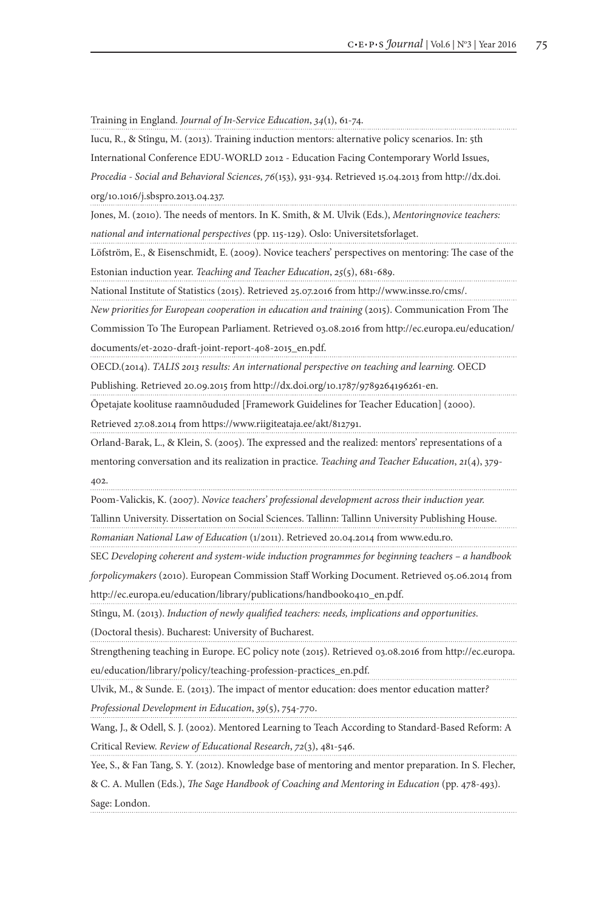Training in England. *Journal of In-Service Education*, *34*(1), 61-74.

Iucu, R., & Stîngu, M. (2013). Training induction mentors: alternative policy scenarios. In: 5th

International Conference EDU-WORLD 2012 - Education Facing Contemporary World Issues,

*Procedia - Social and Behavioral Sciences*, *76*(153), 931-934. Retrieved 15.04.2013 from http://dx.doi. org/10.1016/j.sbspro.2013.04.237.

Jones, M. (2010). The needs of mentors. In K. Smith, & M. Ulvik (Eds.), *Mentoringnovice teachers: national and international perspectives* (pp. 115-129). Oslo: Universitetsforlaget.

Löfström, E., & Eisenschmidt, E. (2009). Novice teachers' perspectives on mentoring: The case of the Estonian induction year. *Teaching and Teacher Education*, *25*(5), 681-689.

National Institute of Statistics (2015). Retrieved 25.07.2016 from http://www.insse.ro/cms/.

*New priorities for European cooperation in education and training (2015)*. Communication From The

Commission To The European Parliament. Retrieved 03.08.2016 from http://ec.europa.eu/education/ documents/et-2020-draft-joint-report-408-2015\_en.pdf.

OECD.(2014). *TALIS 2013 results: An international perspective on teaching and learning.* OECD

Publishing. Retrieved 20.09.2015 from http://dx.doi.org/10.1787/9789264196261-en.

Õpetajate koolituse raamnõududed [Framework Guidelines for Teacher Education] (2000).

Retrieved 27.08.2014 from https://www.riigiteataja.ee/akt/812791.

Orland-Barak, L., & Klein, S. (2005). The expressed and the realized: mentors' representations of a

mentoring conversation and its realization in practice. *Teaching and Teacher Education*, *21*(4), 379- 402.

Poom-Valickis, K. (2007). *Novice teachers' professional development across their induction year.*

Tallinn University. Dissertation on Social Sciences. Tallinn: Tallinn University Publishing House. *Romanian National Law of Education* (1/2011). Retrieved 20.04.2014 from www.edu.ro.

SEC *Developing coherent and system-wide induction programmes for beginning teachers – a handbook* 

*forpolicymakers* (2010). European Commission Staff Working Document. Retrieved 05.06.2014 from http://ec.europa.eu/education/library/publications/handbook0410\_en.pdf.

Stîngu, M. (2013). *Induction of newly qualified teachers: needs, implications and opportunities*.

(Doctoral thesis). Bucharest: University of Bucharest.

Strengthening teaching in Europe. EC policy note (2015). Retrieved 03.08.2016 from http://ec.europa. eu/education/library/policy/teaching-profession-practices\_en.pdf.

Ulvik, M., & Sunde. E. (2013). The impact of mentor education: does mentor education matter*? Professional Development in Education*, *39*(5), 754-770.

Wang, J., & Odell, S. J. (2002). Mentored Learning to Teach According to Standard-Based Reform: A Critical Review. *Review of Educational Research*, *72*(3), 481-546.

Yee, S., & Fan Tang, S. Y. (2012). Knowledge base of mentoring and mentor preparation. In S. Flecher,

& C. A. Mullen (Eds.), *The Sage Handbook of Coaching and Mentoring in Education* (pp. 478-493). Sage: London.